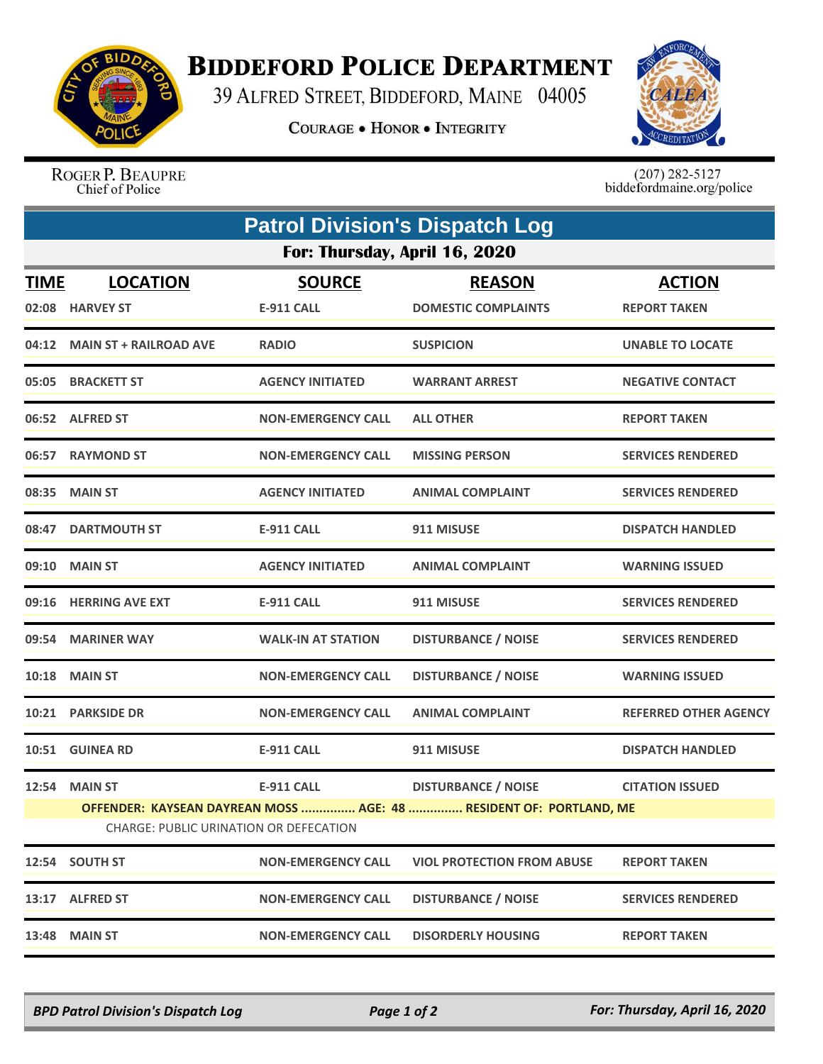

## **BIDDEFORD POLICE DEPARTMENT**

39 ALFRED STREET, BIDDEFORD, MAINE 04005

**COURAGE . HONOR . INTEGRITY** 



ROGER P. BEAUPRE Chief of Police

 $(207)$  282-5127<br>biddefordmaine.org/police

| <b>Patrol Division's Dispatch Log</b>                                                                               |                                    |                                    |                                             |                                      |  |  |  |
|---------------------------------------------------------------------------------------------------------------------|------------------------------------|------------------------------------|---------------------------------------------|--------------------------------------|--|--|--|
| For: Thursday, April 16, 2020                                                                                       |                                    |                                    |                                             |                                      |  |  |  |
| <b>TIME</b>                                                                                                         | <b>LOCATION</b><br>02:08 HARVEY ST | <b>SOURCE</b><br><b>E-911 CALL</b> | <b>REASON</b><br><b>DOMESTIC COMPLAINTS</b> | <b>ACTION</b><br><b>REPORT TAKEN</b> |  |  |  |
|                                                                                                                     | 04:12 MAIN ST + RAILROAD AVE       | <b>RADIO</b>                       | <b>SUSPICION</b>                            | <b>UNABLE TO LOCATE</b>              |  |  |  |
| 05:05                                                                                                               | <b>BRACKETT ST</b>                 | <b>AGENCY INITIATED</b>            | <b>WARRANT ARREST</b>                       | <b>NEGATIVE CONTACT</b>              |  |  |  |
|                                                                                                                     | 06:52 ALFRED ST                    | <b>NON-EMERGENCY CALL</b>          | <b>ALL OTHER</b>                            | <b>REPORT TAKEN</b>                  |  |  |  |
| 06:57                                                                                                               | <b>RAYMOND ST</b>                  | <b>NON-EMERGENCY CALL</b>          | <b>MISSING PERSON</b>                       | <b>SERVICES RENDERED</b>             |  |  |  |
|                                                                                                                     | 08:35 MAIN ST                      | <b>AGENCY INITIATED</b>            | <b>ANIMAL COMPLAINT</b>                     | <b>SERVICES RENDERED</b>             |  |  |  |
| 08:47                                                                                                               | <b>DARTMOUTH ST</b>                | <b>E-911 CALL</b>                  | 911 MISUSE                                  | <b>DISPATCH HANDLED</b>              |  |  |  |
| 09:10                                                                                                               | <b>MAIN ST</b>                     | <b>AGENCY INITIATED</b>            | <b>ANIMAL COMPLAINT</b>                     | <b>WARNING ISSUED</b>                |  |  |  |
|                                                                                                                     | 09:16 HERRING AVE EXT              | <b>E-911 CALL</b>                  | 911 MISUSE                                  | <b>SERVICES RENDERED</b>             |  |  |  |
| 09:54                                                                                                               | <b>MARINER WAY</b>                 | <b>WALK-IN AT STATION</b>          | <b>DISTURBANCE / NOISE</b>                  | <b>SERVICES RENDERED</b>             |  |  |  |
|                                                                                                                     | <b>10:18 MAIN ST</b>               | <b>NON-EMERGENCY CALL</b>          | <b>DISTURBANCE / NOISE</b>                  | <b>WARNING ISSUED</b>                |  |  |  |
|                                                                                                                     | 10:21 PARKSIDE DR                  | <b>NON-EMERGENCY CALL</b>          | <b>ANIMAL COMPLAINT</b>                     | <b>REFERRED OTHER AGENCY</b>         |  |  |  |
|                                                                                                                     | 10:51 GUINEA RD                    | <b>E-911 CALL</b>                  | 911 MISUSE                                  | <b>DISPATCH HANDLED</b>              |  |  |  |
| 12:54                                                                                                               | <b>MAIN ST</b>                     | <b>E-911 CALL</b>                  | <b>DISTURBANCE / NOISE</b>                  | <b>CITATION ISSUED</b>               |  |  |  |
| OFFENDER: KAYSEAN DAYREAN MOSS  AGE: 48  RESIDENT OF: PORTLAND, ME<br><b>CHARGE: PUBLIC URINATION OR DEFECATION</b> |                                    |                                    |                                             |                                      |  |  |  |
|                                                                                                                     | 12:54 SOUTH ST                     | <b>NON-EMERGENCY CALL</b>          | <b>VIOL PROTECTION FROM ABUSE</b>           | <b>REPORT TAKEN</b>                  |  |  |  |
| 13:17                                                                                                               | <b>ALFRED ST</b>                   | <b>NON-EMERGENCY CALL</b>          | <b>DISTURBANCE / NOISE</b>                  | <b>SERVICES RENDERED</b>             |  |  |  |
| 13:48                                                                                                               | <b>MAIN ST</b>                     | <b>NON-EMERGENCY CALL</b>          | <b>DISORDERLY HOUSING</b>                   | <b>REPORT TAKEN</b>                  |  |  |  |